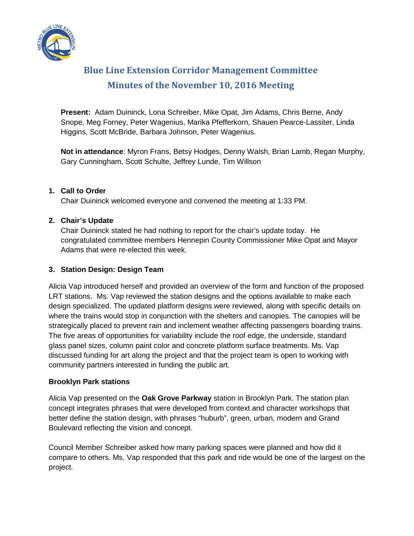

# **Blue Line Extension Corridor Management Committee Minutes of the November 10, 2016 Meeting**

**Present:** Adam Duininck, Lona Schreiber, Mike Opat, Jim Adams, Chris Berne, Andy Snope, Meg Forney, Peter Wagenius, Marika Pfefferkorn, Shauen Pearce-Lassiter, Linda Higgins, Scott McBride, Barbara Johnson, Peter Wagenius.

**Not in attendance**: Myron Frans, Betsy Hodges, Denny Walsh, Brian Lamb, Regan Murphy, Gary Cunningham, Scott Schulte, Jeffrey Lunde, Tim Willson

## **1. Call to Order**

Chair Duininck welcomed everyone and convened the meeting at 1:33 PM.

## **2. Chair's Update**

Chair Duininck stated he had nothing to report for the chair's update today. He congratulated committee members Hennepin County Commissioner Mike Opat and Mayor Adams that were re-elected this week.

#### **3. Station Design: Design Team**

Alicia Vap introduced herself and provided an overview of the form and function of the proposed LRT stations. Ms. Vap reviewed the station designs and the options available to make each design specialized. The updated platform designs were reviewed, along with specific details on where the trains would stop in conjunction with the shelters and canopies. The canopies will be strategically placed to prevent rain and inclement weather affecting passengers boarding trains. The five areas of opportunities for variability include the roof edge, the underside, standard glass panel sizes, column paint color and concrete platform surface treatments. Ms. Vap discussed funding for art along the project and that the project team is open to working with community partners interested in funding the public art.

#### **Brooklyn Park stations**

Alicia Vap presented on the **Oak Grove Parkway** station in Brooklyn Park. The station plan concept integrates phrases that were developed from context and character workshops that better define the station design, with phrases "huburb", green, urban, modern and Grand Boulevard reflecting the vision and concept.

Council Member Schreiber asked how many parking spaces were planned and how did it compare to others. Ms. Vap responded that this park and ride would be one of the largest on the project.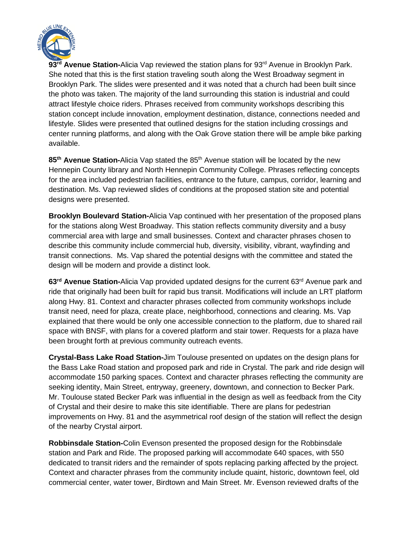

93<sup>rd</sup> Avenue Station-Alicia Vap reviewed the station plans for 93<sup>rd</sup> Avenue in Brooklyn Park. She noted that this is the first station traveling south along the West Broadway segment in Brooklyn Park. The slides were presented and it was noted that a church had been built since the photo was taken. The majority of the land surrounding this station is industrial and could attract lifestyle choice riders. Phrases received from community workshops describing this station concept include innovation, employment destination, distance, connections needed and lifestyle. Slides were presented that outlined designs for the station including crossings and center running platforms, and along with the Oak Grove station there will be ample bike parking available.

85<sup>th</sup> Avenue Station-Alicia Vap stated the 85<sup>th</sup> Avenue station will be located by the new Hennepin County library and North Hennepin Community College. Phrases reflecting concepts for the area included pedestrian facilities, entrance to the future, campus, corridor, learning and destination. Ms. Vap reviewed slides of conditions at the proposed station site and potential designs were presented.

**Brooklyn Boulevard Station-**Alicia Vap continued with her presentation of the proposed plans for the stations along West Broadway. This station reflects community diversity and a busy commercial area with large and small businesses. Context and character phrases chosen to describe this community include commercial hub, diversity, visibility, vibrant, wayfinding and transit connections. Ms. Vap shared the potential designs with the committee and stated the design will be modern and provide a distinct look.

**63rd Avenue Station-**Alicia Vap provided updated designs for the current 63rd Avenue park and ride that originally had been built for rapid bus transit. Modifications will include an LRT platform along Hwy. 81. Context and character phrases collected from community workshops include transit need, need for plaza, create place, neighborhood, connections and clearing. Ms. Vap explained that there would be only one accessible connection to the platform, due to shared rail space with BNSF, with plans for a covered platform and stair tower. Requests for a plaza have been brought forth at previous community outreach events.

**Crystal-Bass Lake Road Station-**Jim Toulouse presented on updates on the design plans for the Bass Lake Road station and proposed park and ride in Crystal. The park and ride design will accommodate 150 parking spaces. Context and character phrases reflecting the community are seeking identity, Main Street, entryway, greenery, downtown, and connection to Becker Park. Mr. Toulouse stated Becker Park was influential in the design as well as feedback from the City of Crystal and their desire to make this site identifiable. There are plans for pedestrian improvements on Hwy. 81 and the asymmetrical roof design of the station will reflect the design of the nearby Crystal airport.

**Robbinsdale Station-**Colin Evenson presented the proposed design for the Robbinsdale station and Park and Ride. The proposed parking will accommodate 640 spaces, with 550 dedicated to transit riders and the remainder of spots replacing parking affected by the project. Context and character phrases from the community include quaint, historic, downtown feel, old commercial center, water tower, Birdtown and Main Street. Mr. Evenson reviewed drafts of the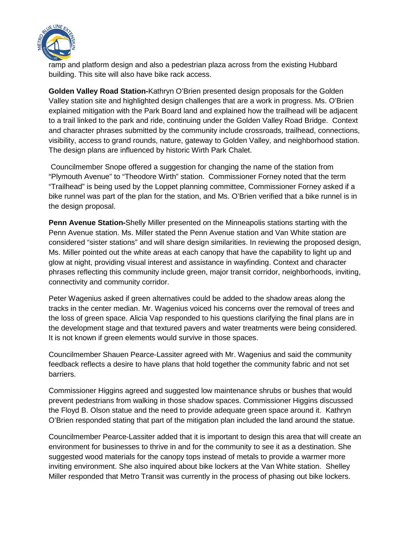

ramp and platform design and also a pedestrian plaza across from the existing Hubbard building. This site will also have bike rack access.

**Golden Valley Road Station-**Kathryn O'Brien presented design proposals for the Golden Valley station site and highlighted design challenges that are a work in progress. Ms. O'Brien explained mitigation with the Park Board land and explained how the trailhead will be adjacent to a trail linked to the park and ride, continuing under the Golden Valley Road Bridge. Context and character phrases submitted by the community include crossroads, trailhead, connections, visibility, access to grand rounds, nature, gateway to Golden Valley, and neighborhood station. The design plans are influenced by historic Wirth Park Chalet.

Councilmember Snope offered a suggestion for changing the name of the station from "Plymouth Avenue" to "Theodore Wirth" station. Commissioner Forney noted that the term "Trailhead" is being used by the Loppet planning committee, Commissioner Forney asked if a bike runnel was part of the plan for the station, and Ms. O'Brien verified that a bike runnel is in the design proposal.

**Penn Avenue Station-**Shelly Miller presented on the Minneapolis stations starting with the Penn Avenue station. Ms. Miller stated the Penn Avenue station and Van White station are considered "sister stations" and will share design similarities. In reviewing the proposed design, Ms. Miller pointed out the white areas at each canopy that have the capability to light up and glow at night, providing visual interest and assistance in wayfinding. Context and character phrases reflecting this community include green, major transit corridor, neighborhoods, inviting, connectivity and community corridor.

Peter Wagenius asked if green alternatives could be added to the shadow areas along the tracks in the center median. Mr. Wagenius voiced his concerns over the removal of trees and the loss of green space. Alicia Vap responded to his questions clarifying the final plans are in the development stage and that textured pavers and water treatments were being considered. It is not known if green elements would survive in those spaces.

Councilmember Shauen Pearce-Lassiter agreed with Mr. Wagenius and said the community feedback reflects a desire to have plans that hold together the community fabric and not set barriers.

Commissioner Higgins agreed and suggested low maintenance shrubs or bushes that would prevent pedestrians from walking in those shadow spaces. Commissioner Higgins discussed the Floyd B. Olson statue and the need to provide adequate green space around it. Kathryn O'Brien responded stating that part of the mitigation plan included the land around the statue.

Councilmember Pearce-Lassiter added that it is important to design this area that will create an environment for businesses to thrive in and for the community to see it as a destination. She suggested wood materials for the canopy tops instead of metals to provide a warmer more inviting environment. She also inquired about bike lockers at the Van White station. Shelley Miller responded that Metro Transit was currently in the process of phasing out bike lockers.